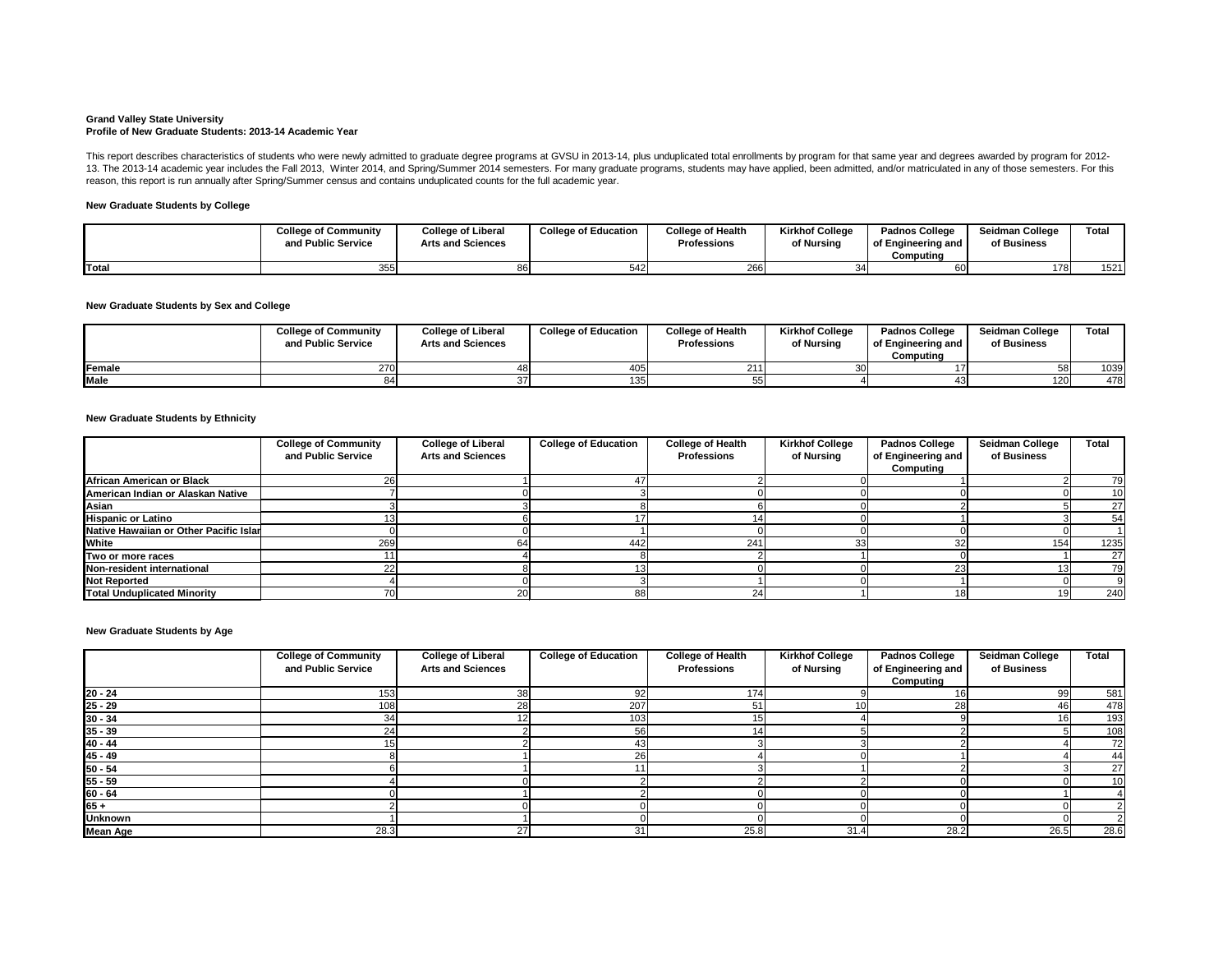#### **Grand Valley State University Profile of New Graduate Students: 2013-14 Academic Year**

## **New Graduate Students by College**

## **New Graduate Students by Sex and College**

### **New Graduate Students by Ethnicity**

|             | <b>College of Community</b><br>and Public Service | <b>College of Liberal</b><br><b>Arts and Sciences</b> | <b>College of Education</b> | <b>College of Health</b><br><b>Professions</b> | <b>Kirkhof College</b><br>of Nursing | <b>Padnos College</b><br>of Engineering and<br>Computing | <b>Seidman College</b><br>of Business | <b>Total</b> |
|-------------|---------------------------------------------------|-------------------------------------------------------|-----------------------------|------------------------------------------------|--------------------------------------|----------------------------------------------------------|---------------------------------------|--------------|
| Female      | 270                                               |                                                       | 405                         |                                                |                                      |                                                          | -58I                                  | 1039         |
| <b>Male</b> |                                                   |                                                       | 135 <sub>1</sub>            |                                                |                                      |                                                          | 120 <sub>l</sub>                      | 478          |

This report describes characteristics of students who were newly admitted to graduate degree programs at GVSU in 2013-14, plus unduplicated total enrollments by program for that same year and degrees awarded by program for 13. The 2013-14 academic year includes the Fall 2013, Winter 2014, and Spring/Summer 2014 semesters. For many graduate programs, students may have applied, been admitted, and/or matriculated in any of those semesters. For reason, this report is run annually after Spring/Summer census and contains unduplicated counts for the full academic year.

|              | <b>College of Community</b><br>and Public Service | <b>College of Liberal</b><br><b>Arts and Sciences</b> | <b>College of Education</b> | <b>College of Health</b><br><b>Professions</b> | <b>Kirkhof College</b><br>of Nursing | <b>Padnos College</b><br>of Engineering and<br>Computing | <b>Seidman College</b><br>of Business | Total |
|--------------|---------------------------------------------------|-------------------------------------------------------|-----------------------------|------------------------------------------------|--------------------------------------|----------------------------------------------------------|---------------------------------------|-------|
| <b>Total</b> | 355                                               |                                                       |                             | 266                                            |                                      |                                                          | 178                                   | 1521  |

**New Graduate Students by Age**

|                                        | <b>College of Community</b><br>and Public Service | <b>College of Liberal</b><br><b>Arts and Sciences</b> | <b>College of Education</b> | <b>College of Health</b><br><b>Professions</b> | <b>Kirkhof College</b><br>of Nursing | <b>Padnos College</b><br>of Engineering and<br>Computing | <b>Seidman College</b><br>of Business | <b>Total</b> |
|----------------------------------------|---------------------------------------------------|-------------------------------------------------------|-----------------------------|------------------------------------------------|--------------------------------------|----------------------------------------------------------|---------------------------------------|--------------|
| African American or Black              |                                                   |                                                       |                             |                                                |                                      |                                                          |                                       | 79           |
| American Indian or Alaskan Native      |                                                   |                                                       |                             |                                                |                                      |                                                          |                                       | 10           |
| Asian                                  |                                                   |                                                       |                             |                                                |                                      |                                                          |                                       | 27           |
| <b>Hispanic or Latino</b>              |                                                   |                                                       |                             |                                                |                                      |                                                          |                                       | 54           |
| Native Hawaiian or Other Pacific Islar |                                                   |                                                       |                             |                                                |                                      |                                                          |                                       |              |
| <b>White</b>                           | 269                                               |                                                       | 442                         | 241                                            |                                      |                                                          | 154                                   | 1235         |
| Two or more races                      |                                                   |                                                       |                             |                                                |                                      |                                                          |                                       | 27           |
| Non-resident international             |                                                   |                                                       |                             |                                                |                                      |                                                          |                                       | 79           |
| <b>Not Reported</b>                    |                                                   |                                                       |                             |                                                |                                      |                                                          |                                       |              |
| <b>Total Unduplicated Minority</b>     |                                                   |                                                       | 88                          | 24                                             |                                      |                                                          | 19 <sup>l</sup>                       | 240          |

|                 | <b>College of Community</b> | <b>College of Liberal</b> | <b>College of Education</b> | <b>College of Health</b> | <b>Kirkhof College</b> | <b>Padnos College</b> | <b>Seidman College</b> | <b>Total</b> |
|-----------------|-----------------------------|---------------------------|-----------------------------|--------------------------|------------------------|-----------------------|------------------------|--------------|
|                 | and Public Service          | <b>Arts and Sciences</b>  |                             | <b>Professions</b>       | of Nursing             | of Engineering and    | of Business            |              |
|                 |                             |                           |                             |                          |                        | Computing             |                        |              |
| $20 - 24$       | 153                         | 38                        | 92 <sub>l</sub>             | 174.                     |                        |                       | -99                    | 581          |
| $25 - 29$       | 108                         | 28                        | 207                         | 51                       | 10I                    | 28                    | 46I                    | 478          |
| $30 - 34$       | 34                          |                           | 103                         | 15.                      |                        |                       | 16 <sup>l</sup>        | 193          |
| $35 - 39$       |                             |                           | 56                          | 14                       |                        |                       |                        | 108          |
| $40 - 44$       |                             |                           | 43I                         |                          |                        |                       |                        | 72           |
| $45 - 49$       |                             |                           | 26                          |                          |                        |                       |                        | 44           |
| $50 - 54$       |                             |                           |                             |                          |                        |                       |                        | 27           |
| $55 - 59$       |                             |                           |                             |                          |                        |                       |                        | 10           |
| $60 - 64$       |                             |                           |                             |                          |                        |                       |                        |              |
| $165 +$         |                             |                           |                             |                          |                        |                       |                        |              |
| <b>Unknown</b>  |                             |                           |                             |                          |                        |                       |                        |              |
| <b>Mean Age</b> | 28.3                        | 27                        | 31                          | 25.8                     | 31.4                   | 28.2                  | 26.5                   | 28.6         |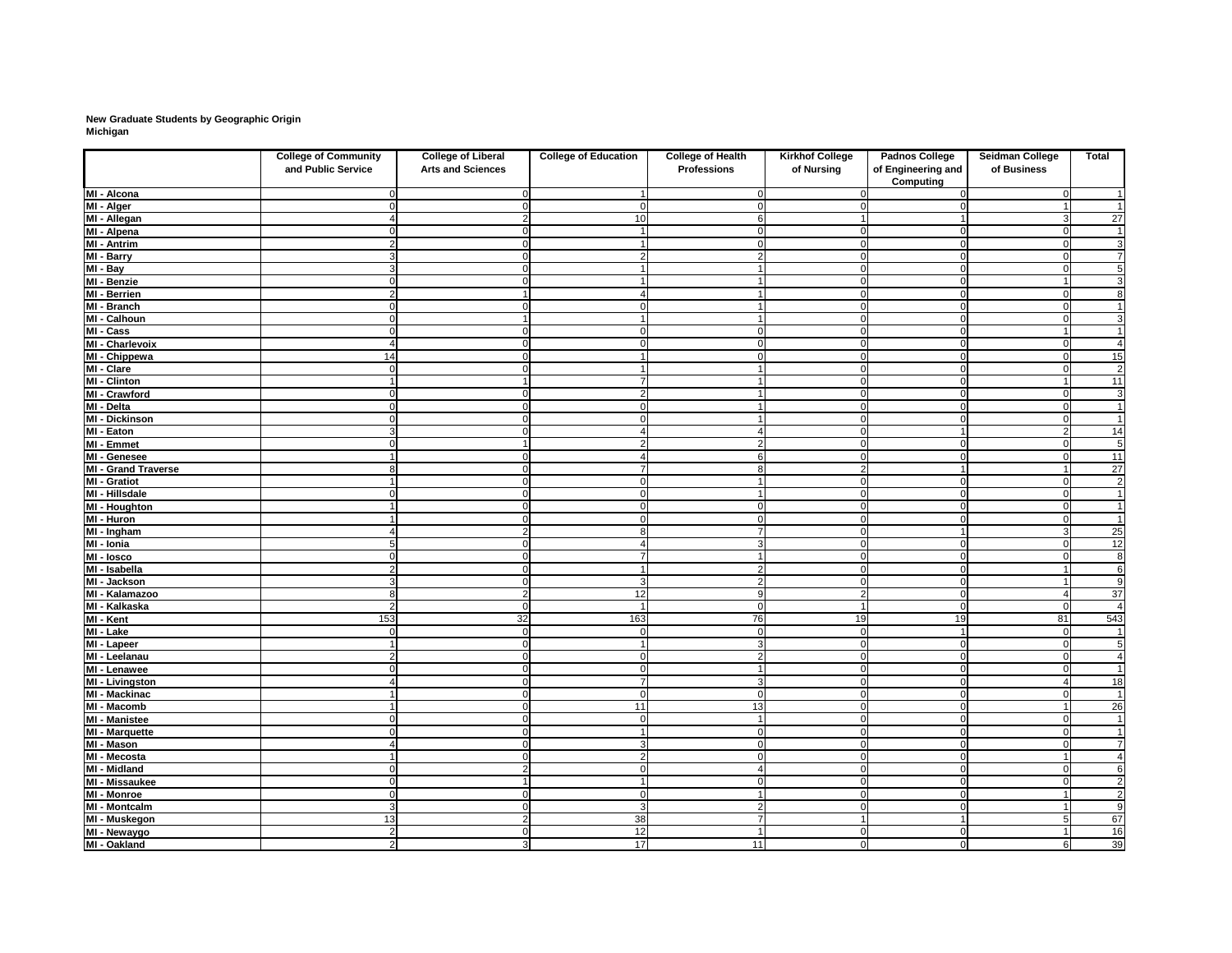# **New Graduate Students by Geographic Origin Michigan**

|                               | <b>College of Community</b> | <b>College of Liberal</b> | <b>College of Education</b> | <b>College of Health</b> | <b>Kirkhof College</b> | <b>Padnos College</b>                  | <b>Seidman College</b> | <b>Total</b>    |
|-------------------------------|-----------------------------|---------------------------|-----------------------------|--------------------------|------------------------|----------------------------------------|------------------------|-----------------|
|                               | and Public Service          | <b>Arts and Sciences</b>  |                             | <b>Professions</b>       | of Nursing             | of Engineering and<br><b>Computing</b> | of Business            |                 |
| MI - Alcona                   |                             |                           |                             |                          |                        |                                        | $\Omega$               |                 |
| MI - Alger                    |                             |                           |                             |                          |                        |                                        |                        | $\mathbf 1$     |
| MI - Allegan                  |                             |                           | 10                          |                          |                        |                                        |                        | $\overline{27}$ |
| MI - Alpena                   |                             |                           |                             |                          | 0                      |                                        | - 0                    | $\mathbf 1$     |
| MI - Antrim                   | 2                           |                           |                             |                          | $\overline{0}$         |                                        | $\Omega$               | $\overline{3}$  |
| MI - Barry                    |                             |                           | 2                           |                          | $\mathbf 0$            |                                        | $\cap$                 | $\overline{7}$  |
| $\overline{M}$ - Bay          | 3                           |                           |                             |                          | $\Omega$               |                                        |                        | $\overline{5}$  |
| MI - Benzie                   |                             |                           |                             |                          | $\mathbf 0$            |                                        |                        | $\overline{3}$  |
| MI - Berrien                  | 2                           |                           |                             |                          | $\overline{0}$         |                                        | $\cap$                 | $\overline{8}$  |
| MI - Branch                   |                             |                           |                             |                          | $\overline{0}$         |                                        |                        | -1              |
| MI - Calhoun                  |                             |                           |                             |                          | $\Omega$               |                                        |                        | $\overline{3}$  |
| MI - Cass                     |                             |                           | $\Omega$                    |                          | $\mathbf 0$            |                                        |                        | $\overline{1}$  |
| MI - Charlevoix               |                             |                           | $\Omega$                    |                          | $\overline{0}$         |                                        | - 0                    | $\overline{4}$  |
| MI - Chippewa                 | 14                          |                           |                             |                          | $\overline{0}$         |                                        | $\cap$                 | 15              |
| MI - Clare                    |                             |                           |                             |                          | 0                      |                                        |                        | $\overline{2}$  |
| <b>MI - Clinton</b>           |                             |                           |                             |                          | $\Omega$               |                                        |                        | 11              |
| MI - Crawford                 |                             |                           | 2                           |                          | $\overline{0}$         |                                        |                        | 3               |
| MI - Delta                    |                             |                           | $\Omega$                    |                          | $\mathbf 0$            |                                        |                        | $\mathbf{1}$    |
| <b>MI - Dickinson</b>         |                             |                           | $\Omega$                    |                          | $\overline{0}$         |                                        | $\Omega$               | $\overline{1}$  |
| MI - Eaton                    | 3                           |                           | $\overline{4}$              |                          | $\overline{0}$         |                                        | $\overline{2}$         | 14              |
| <b>MI - Emmet</b>             |                             |                           | $\overline{2}$              | 2                        | $\overline{0}$         | $\Omega$                               | $\Omega$               | $\overline{5}$  |
| MI - Genesee                  |                             |                           | 4                           |                          | $\overline{0}$         |                                        | $\Omega$               | 11              |
| <b>MI - Grand Traverse</b>    | 8                           |                           | $\overline{7}$              |                          | $\overline{2}$         |                                        |                        | $\overline{27}$ |
| <b>MI - Gratiot</b>           |                             |                           | $\mathbf 0$                 |                          | $\overline{0}$         | ∩                                      | $\Omega$               | $\overline{2}$  |
| MI - Hillsdale                |                             |                           | $\Omega$                    |                          | $\overline{0}$         |                                        | $\Omega$               | $\mathbf{1}$    |
| MI - Houghton                 |                             |                           | $\mathbf 0$                 | $\cap$                   | $\overline{0}$         |                                        | $\Omega$               | $\overline{1}$  |
| <b>MI - Huron</b>             |                             |                           | $\Omega$                    | $\Omega$                 | $\overline{0}$         |                                        | $\Omega$               | $\overline{1}$  |
| MI - Ingham                   |                             |                           | 8                           |                          | $\overline{0}$         |                                        | 3                      | $\overline{25}$ |
| $\overline{M}$ - Ionia        |                             |                           | 4                           | З                        | $\overline{0}$         | $\Omega$                               | $\Omega$               | $\overline{12}$ |
| MI - losco                    |                             |                           | $\overline{7}$              |                          | $\overline{0}$         |                                        |                        | 8               |
| MI - Isabella                 | 2                           |                           |                             |                          | $\overline{0}$         |                                        |                        | $\overline{6}$  |
| MI - Jackson                  |                             |                           | 3                           |                          | $\overline{0}$         | ∩                                      |                        | 9               |
| MI - Kalamazoo                | 8                           | 2                         | 12                          | 9                        | 2                      | $\overline{0}$                         |                        | $\overline{37}$ |
| MI - Kalkaska                 | 2                           | $\Omega$                  | $\overline{\mathbf{1}}$     | $\overline{0}$           |                        | 0                                      | $\overline{0}$         | $\overline{4}$  |
| MI - Kent                     | 153                         | 32                        | 163                         | 76                       | 19                     | 19                                     | 81                     | 543             |
| MI - Lake                     | $\Omega$                    | $\Omega$                  | $\mathbf 0$                 | $\Omega$                 | $\mathbf 0$            | -1                                     | $\Omega$               | $\mathbf{1}$    |
| MI - Lapeer                   | $\blacktriangleleft$        |                           | $\overline{1}$              | 3                        | $\overline{0}$         | 0                                      | $\Omega$               | $\overline{5}$  |
| MI - Leelanau                 | 2                           | ∩                         | $\mathbf 0$                 | $\overline{2}$           | $\overline{0}$         | $\Omega$                               | $\Omega$               | $\overline{4}$  |
| MI - Lenawee                  |                             |                           | $\mathbf 0$                 |                          | $\overline{0}$         |                                        | $\Omega$               | $\overline{1}$  |
| $\overline{M}$ l - Livingston |                             |                           | $\overline{7}$              | 3                        | $\overline{0}$         | O                                      |                        | 18              |
| MI - Mackinac                 |                             |                           | $\mathbf 0$                 | $\Omega$                 | $\overline{0}$         | $\Omega$                               |                        | $\overline{1}$  |
| MI - Macomb                   |                             |                           | 11                          | 13                       | $\overline{0}$         |                                        |                        | 26              |
| <b>MI</b> - Manistee          | $\Omega$                    |                           | $\mathbf 0$                 |                          | $\overline{0}$         | $\Omega$                               | $\Omega$               | $\mathbf 1$     |
| MI - Marquette                | $\Omega$                    |                           | $\overline{1}$              | $\overline{0}$           | $\overline{0}$         | $\Omega$                               | $\Omega$               | $\mathbf{1}$    |
| MI - Mason                    | 4                           |                           | 3                           | $\Omega$                 | $\overline{0}$         | 0                                      | $\Omega$               | $\overline{7}$  |
| MI - Mecosta                  | 1                           |                           | $\mathbf{2}$                | $\cap$                   | $\overline{0}$         | ∩                                      |                        |                 |
| <b>MI - Midland</b>           | $\Omega$                    |                           | $\mathbf 0$                 |                          | $\overline{0}$         | 0                                      | $\Omega$               | 6               |
| <b>MI - Missaukee</b>         | $\Omega$                    |                           | $\overline{1}$              | $\cap$                   | $\overline{0}$         | ∩                                      | $\cap$                 | $\overline{2}$  |
| MI - Monroe                   | $\Omega$                    |                           | $\mathbf 0$                 |                          | $\overline{0}$         |                                        |                        | $\overline{2}$  |
| <b>MI - Montcalm</b>          | 3 <sup>l</sup>              |                           | $\mathbf{3}$                | $\overline{2}$           | $\overline{0}$         | 0                                      |                        | $\overline{9}$  |
| MI - Muskegon                 | 13                          |                           | 38                          | 7                        |                        |                                        | 5                      | 67              |
| MI - Newaygo                  | $\overline{2}$              | ∩                         | 12                          |                          | $\overline{0}$         | $\mathbf 0$                            | $\overline{ }$         | $\overline{16}$ |
| MI - Oakland                  | $\overline{2}$              | 3                         | 17                          | 11                       | 0                      | 0                                      | $6 \mid$               | 39              |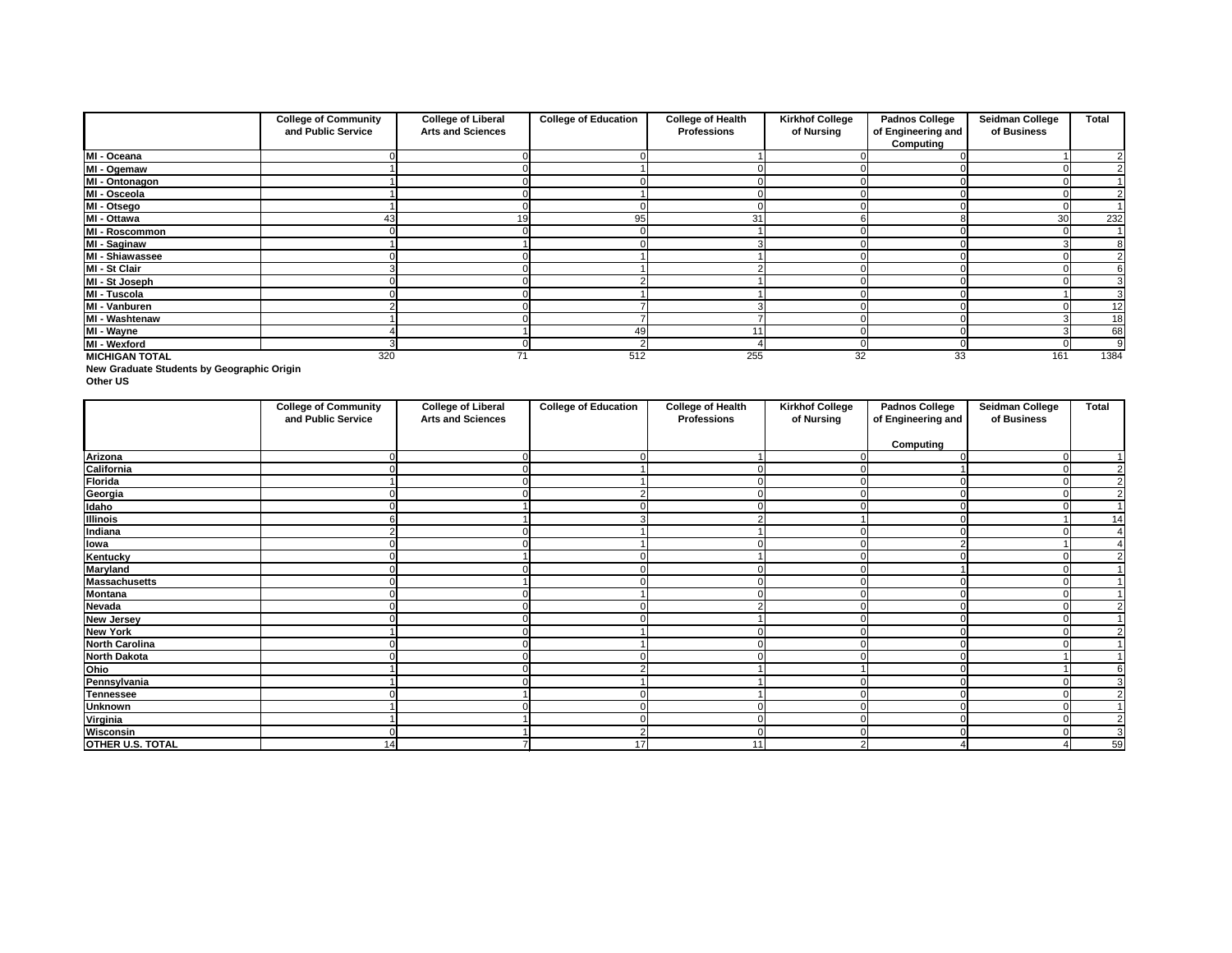**New Graduate Students by Geographic Origin**

**Other US**

|                        | <b>College of Community</b> | <b>College of Liberal</b> | <b>College of Education</b> | <b>College of Health</b> | <b>Kirkhof College</b> | <b>Padnos College</b>                  | <b>Seidman College</b> | <b>Total</b> |
|------------------------|-----------------------------|---------------------------|-----------------------------|--------------------------|------------------------|----------------------------------------|------------------------|--------------|
|                        | and Public Service          | <b>Arts and Sciences</b>  |                             | <b>Professions</b>       | of Nursing             | of Engineering and<br><b>Computing</b> | of Business            |              |
| MI - Oceana            |                             |                           |                             |                          |                        |                                        |                        |              |
| MI - Ogemaw            |                             |                           |                             |                          |                        |                                        |                        |              |
| MI - Ontonagon         |                             |                           |                             |                          |                        |                                        |                        |              |
| MI - Osceola           |                             |                           |                             |                          |                        |                                        |                        |              |
| MI - Otsego            |                             |                           |                             |                          |                        |                                        |                        |              |
| MI - Ottawa            | 43                          | 19                        | 95                          | 31                       |                        |                                        | 30                     | 232          |
| MI - Roscommon         |                             |                           |                             |                          |                        |                                        |                        |              |
| <b>MI - Saginaw</b>    |                             |                           |                             |                          |                        |                                        |                        |              |
| <b>MI - Shiawassee</b> |                             |                           |                             |                          |                        |                                        |                        |              |
| MI - St Clair          |                             |                           |                             |                          |                        |                                        |                        |              |
| MI - St Joseph         |                             |                           |                             |                          |                        |                                        |                        |              |
| MI - Tuscola           |                             |                           |                             |                          |                        |                                        |                        |              |
| MI - Vanburen          |                             |                           |                             |                          |                        |                                        |                        | 12           |
| MI - Washtenaw         |                             |                           |                             |                          |                        |                                        |                        | 18           |
| MI - Wayne             |                             |                           | 49                          |                          |                        |                                        |                        | 68           |
| MI - Wexford           |                             |                           |                             |                          |                        |                                        |                        | 9            |
| <b>MICHIGAN TOTAL</b>  | 320                         | 71                        | 512                         | 255                      | 32                     | 33                                     | 161                    | 1384         |

|                         | <b>College of Community</b><br>and Public Service | <b>College of Liberal</b><br><b>Arts and Sciences</b> | <b>College of Education</b> | <b>College of Health</b><br><b>Professions</b> | <b>Kirkhof College</b><br>of Nursing | <b>Padnos College</b><br>of Engineering and | <b>Seidman College</b><br>of Business | <b>Total</b>   |
|-------------------------|---------------------------------------------------|-------------------------------------------------------|-----------------------------|------------------------------------------------|--------------------------------------|---------------------------------------------|---------------------------------------|----------------|
|                         |                                                   |                                                       |                             |                                                |                                      | <b>Computing</b>                            |                                       |                |
| Arizona                 |                                                   |                                                       |                             |                                                |                                      |                                             | 0l                                    |                |
| California              |                                                   |                                                       |                             |                                                |                                      |                                             |                                       | $\overline{2}$ |
|                         |                                                   |                                                       |                             |                                                |                                      |                                             |                                       | $\overline{2}$ |
| Florida<br>Georgia      |                                                   |                                                       |                             |                                                |                                      |                                             |                                       | $\overline{2}$ |
| <b>Idaho</b>            |                                                   |                                                       |                             |                                                |                                      |                                             |                                       | $\overline{1}$ |
| <b>Illinois</b>         |                                                   |                                                       |                             |                                                |                                      |                                             |                                       | 14             |
| Indiana                 | っ                                                 |                                                       |                             |                                                |                                      |                                             |                                       |                |
| lowa<br>Kentucky        |                                                   |                                                       |                             |                                                |                                      |                                             |                                       |                |
|                         |                                                   |                                                       |                             |                                                |                                      |                                             |                                       | 2              |
| <b>Maryland</b>         |                                                   |                                                       |                             |                                                | ∩                                    |                                             |                                       |                |
| <b>Massachusetts</b>    |                                                   |                                                       |                             |                                                |                                      |                                             |                                       |                |
| <b>Montana</b>          |                                                   |                                                       |                             |                                                |                                      |                                             |                                       |                |
| <b>Nevada</b>           |                                                   |                                                       |                             |                                                |                                      |                                             |                                       | $\overline{2}$ |
| <b>New Jersey</b>       |                                                   |                                                       |                             |                                                |                                      |                                             |                                       |                |
| <b>New York</b>         |                                                   |                                                       |                             |                                                |                                      |                                             |                                       | 2              |
| <b>North Carolina</b>   |                                                   |                                                       |                             |                                                |                                      |                                             |                                       |                |
| <b>North Dakota</b>     |                                                   |                                                       |                             |                                                |                                      |                                             |                                       |                |
| Ohio                    |                                                   |                                                       |                             |                                                |                                      |                                             |                                       |                |
| Pennsylvania            |                                                   |                                                       |                             |                                                |                                      |                                             |                                       | 3              |
| <b>Tennessee</b>        |                                                   |                                                       |                             |                                                |                                      |                                             |                                       | $\overline{2}$ |
| <b>Unknown</b>          |                                                   |                                                       |                             |                                                |                                      |                                             |                                       |                |
| Virginia                |                                                   |                                                       |                             |                                                |                                      |                                             |                                       | $\overline{2}$ |
| Wisconsin               |                                                   |                                                       | 2                           |                                                | $\Omega$                             |                                             |                                       | 3              |
| <b>OTHER U.S. TOTAL</b> | 14                                                |                                                       | 17                          | 11                                             | ◠                                    |                                             |                                       | 59             |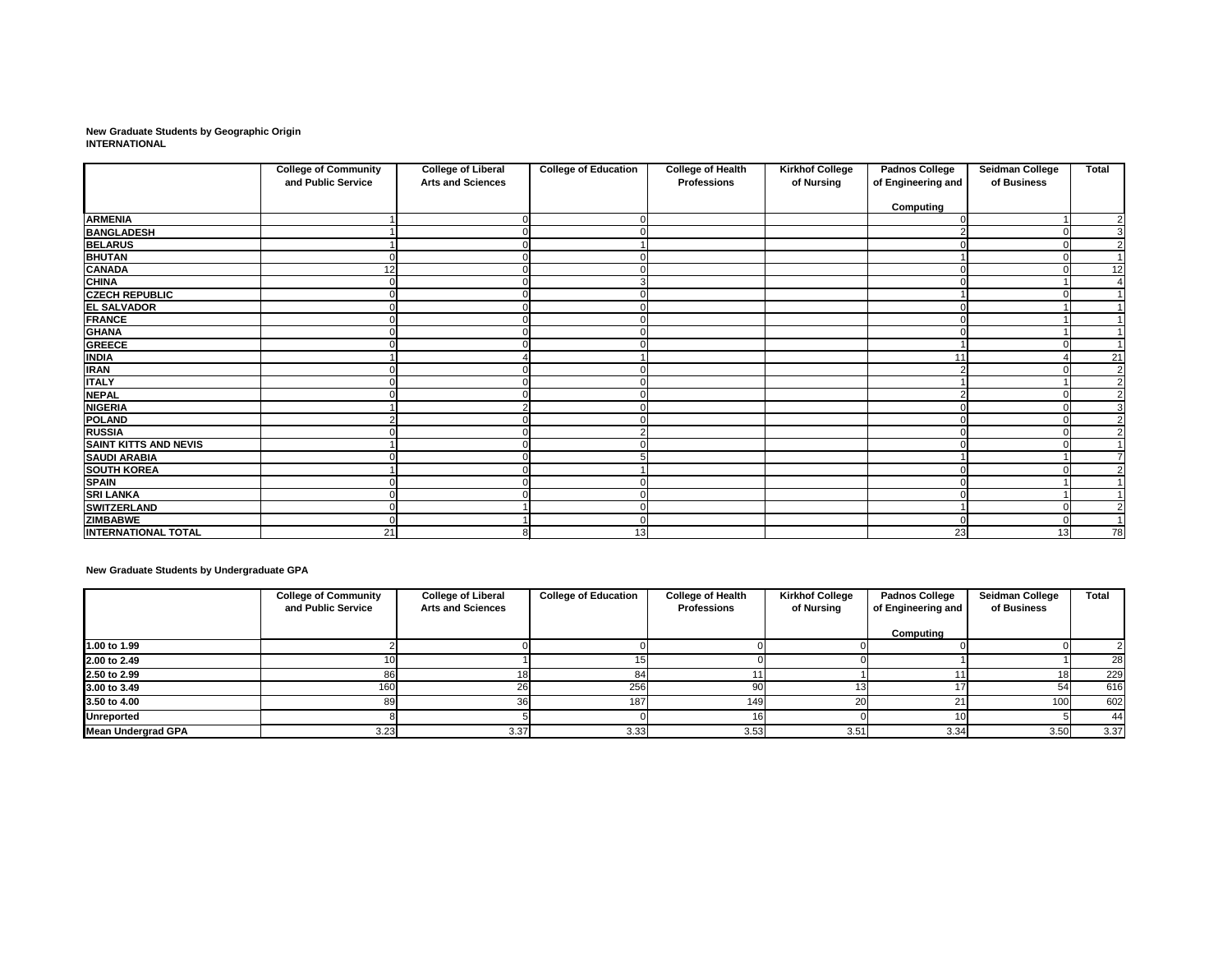**New Graduate Students by Geographic Origin INTERNATIONAL**

|                              | <b>College of Community</b><br>and Public Service | <b>College of Liberal</b><br><b>Arts and Sciences</b> | <b>College of Education</b> | <b>College of Health</b> | <b>Kirkhof College</b> | <b>Padnos College</b> | Seidman College | <b>Total</b>   |
|------------------------------|---------------------------------------------------|-------------------------------------------------------|-----------------------------|--------------------------|------------------------|-----------------------|-----------------|----------------|
|                              |                                                   |                                                       |                             | <b>Professions</b>       | of Nursing             | of Engineering and    | of Business     |                |
|                              |                                                   |                                                       |                             |                          |                        | <b>Computing</b>      |                 |                |
| <b>ARMENIA</b>               |                                                   |                                                       |                             |                          |                        |                       |                 | $\overline{2}$ |
| <b>BANGLADESH</b>            |                                                   |                                                       |                             |                          |                        |                       |                 | $\overline{3}$ |
| <b>BELARUS</b>               |                                                   |                                                       |                             |                          |                        |                       |                 | $\overline{2}$ |
| <b>BHUTAN</b>                |                                                   |                                                       |                             |                          |                        |                       |                 |                |
| <b>CANADA</b>                | 12                                                |                                                       |                             |                          |                        |                       |                 | 12             |
| <b>CHINA</b>                 |                                                   |                                                       | 3                           |                          |                        |                       |                 |                |
| <b>CZECH REPUBLIC</b>        |                                                   |                                                       |                             |                          |                        |                       |                 |                |
| <b>EL SALVADOR</b>           |                                                   |                                                       |                             |                          |                        |                       |                 |                |
| <b>FRANCE</b>                |                                                   |                                                       |                             |                          |                        |                       |                 |                |
| <b>GHANA</b>                 |                                                   |                                                       |                             |                          |                        |                       |                 |                |
| <b>GREECE</b>                |                                                   |                                                       |                             |                          |                        |                       |                 |                |
| <b>INDIA</b>                 |                                                   |                                                       |                             |                          |                        | 11                    |                 | 21             |
| <b>IRAN</b>                  |                                                   |                                                       |                             |                          |                        |                       |                 | $\overline{2}$ |
| <b>ITALY</b>                 |                                                   |                                                       |                             |                          |                        |                       |                 | $\overline{2}$ |
| <b>NEPAL</b>                 |                                                   |                                                       |                             |                          |                        |                       |                 | $\overline{2}$ |
| <b>NIGERIA</b>               |                                                   |                                                       |                             |                          |                        |                       |                 | $\overline{3}$ |
| <b>POLAND</b>                |                                                   |                                                       |                             |                          |                        |                       |                 | $\overline{2}$ |
| <b>RUSSIA</b>                |                                                   |                                                       | $\overline{2}$              |                          |                        |                       |                 | $\overline{2}$ |
| <b>SAINT KITTS AND NEVIS</b> |                                                   |                                                       |                             |                          |                        |                       |                 |                |
| <b>SAUDI ARABIA</b>          |                                                   |                                                       | 5                           |                          |                        |                       |                 | $\overline{7}$ |
| <b>SOUTH KOREA</b>           |                                                   |                                                       |                             |                          |                        |                       |                 | $\overline{2}$ |
| <b>SPAIN</b>                 |                                                   |                                                       |                             |                          |                        |                       |                 |                |
| <b>SRI LANKA</b>             |                                                   |                                                       |                             |                          |                        |                       |                 |                |
| <b>SWITZERLAND</b>           |                                                   |                                                       | $\Omega$                    |                          |                        |                       |                 | $\overline{2}$ |
| <b>ZIMBABWE</b>              |                                                   |                                                       | O                           |                          |                        |                       |                 |                |
| <b>INTERNATIONAL TOTAL</b>   | 21                                                | Ö                                                     | 13                          |                          |                        | 23                    | 13              | 78             |

**New Graduate Students by Undergraduate GPA**

|                           | <b>College of Community</b> | <b>College of Liberal</b> | <b>College of Education</b> | <b>College of Health</b> | <b>Kirkhof College</b> | <b>Padnos College</b> | <b>Seidman College</b> | <b>Total</b> |
|---------------------------|-----------------------------|---------------------------|-----------------------------|--------------------------|------------------------|-----------------------|------------------------|--------------|
|                           | and Public Service          | <b>Arts and Sciences</b>  |                             | <b>Professions</b>       | of Nursing             | of Engineering and    | of Business            |              |
|                           |                             |                           |                             |                          |                        | Computing             |                        |              |
| 1.00 to 1.99              |                             |                           |                             |                          |                        |                       |                        |              |
| 2.00 to 2.49              |                             |                           |                             |                          |                        |                       |                        | 28           |
| 2.50 to 2.99              | 86l                         | 18.                       |                             |                          |                        |                       | 181                    | 229          |
| 3.00 to 3.49              | 160                         | 26                        | 256                         | 90                       | IЗ                     |                       | 54                     | 616          |
| 3.50 to 4.00              |                             | 36                        | 187                         | 149                      | 20 <sub>1</sub>        |                       | 100                    | 602          |
| <b>Unreported</b>         |                             |                           |                             | 16                       |                        |                       |                        | -44          |
| <b>Mean Undergrad GPA</b> | 3.23                        | 3.37                      | 3.33                        | 3.53                     | 3.51                   | 3.34                  | 3.50                   | 3.37         |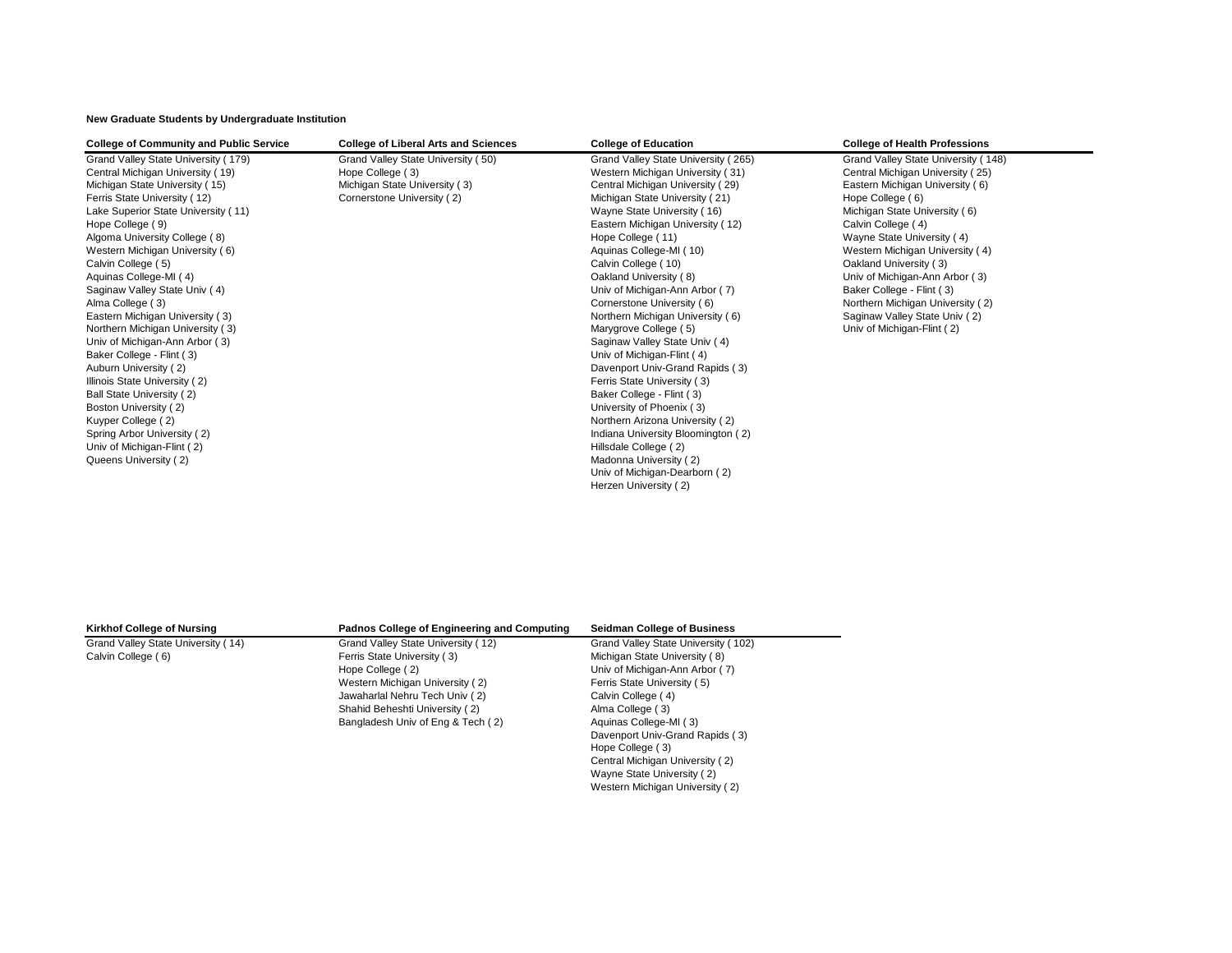**New Graduate Students by Undergraduate Institution**

| <b>College of Community and Public Service</b> | <b>College of Liberal Arts and Sciences</b> | <b>College of Education</b>         | <b>College of Health Professions</b> |
|------------------------------------------------|---------------------------------------------|-------------------------------------|--------------------------------------|
| Grand Valley State University (179)            | Grand Valley State University (50)          | Grand Valley State University (265) | Grand Valley State University (148)  |
| Central Michigan University (19)               | Hope College (3)                            | Western Michigan University (31)    | Central Michigan University (25)     |
| Michigan State University (15)                 | Michigan State University (3)               | Central Michigan University (29)    | Eastern Michigan University (6)      |
| Ferris State University (12)                   | Cornerstone University (2)                  | Michigan State University (21)      | Hope College (6)                     |
| Lake Superior State University (11)            |                                             | Wayne State University (16)         | Michigan State University (6)        |
| Hope College (9)                               |                                             | Eastern Michigan University (12)    | Calvin College (4)                   |
| Algoma University College (8)                  |                                             | Hope College (11)                   | Wayne State University (4)           |
| Western Michigan University (6)                |                                             | Aquinas College-MI (10)             | Western Michigan University (4)      |
| Calvin College (5)                             |                                             | Calvin College (10)                 | Oakland University (3)               |
| Aquinas College-MI (4)                         |                                             | Oakland University (8)              | Univ of Michigan-Ann Arbor (3)       |
| Saginaw Valley State Univ (4)                  |                                             | Univ of Michigan-Ann Arbor (7)      | Baker College - Flint (3)            |
| Alma College (3)                               |                                             | Cornerstone University (6)          | Northern Michigan University (2)     |
| Eastern Michigan University (3)                |                                             | Northern Michigan University (6)    | Saginaw Valley State Univ (2)        |
| Northern Michigan University (3)               |                                             | Marygrove College (5)               | Univ of Michigan-Flint (2)           |
| Univ of Michigan-Ann Arbor (3)                 |                                             | Saginaw Valley State Univ (4)       |                                      |
| Baker College - Flint (3)                      |                                             | Univ of Michigan-Flint (4)          |                                      |
| Auburn University (2)                          |                                             | Davenport Univ-Grand Rapids (3)     |                                      |
| Illinois State University (2)                  |                                             | Ferris State University (3)         |                                      |
| Ball State University (2)                      |                                             | Baker College - Flint (3)           |                                      |
| Boston University (2)                          |                                             | University of Phoenix (3)           |                                      |
| Kuyper College (2)                             |                                             | Northern Arizona University (2)     |                                      |
| Spring Arbor University (2)                    |                                             | Indiana University Bloomington (2)  |                                      |
| Univ of Michigan-Flint (2)                     |                                             | Hillsdale College (2)               |                                      |
| Queens University (2)                          |                                             | Madonna University (2)              |                                      |
|                                                |                                             | Univ of Michigan-Dearborn (2)       |                                      |
|                                                |                                             | Herzen University (2)               |                                      |
|                                                |                                             |                                     |                                      |

| <b>Kirkhof College of Nursing</b>  | <b>Padnos College of Engineering and Computing</b> | <b>Seidman College of Business</b>  |
|------------------------------------|----------------------------------------------------|-------------------------------------|
| Grand Valley State University (14) | Grand Valley State University (12)                 | Grand Valley State University (102) |
| Calvin College (6)                 | Ferris State University (3)                        | Michigan State University (8)       |
|                                    | Hope College (2)                                   | Univ of Michigan-Ann Arbor (7)      |
|                                    | Western Michigan University (2)                    | Ferris State University (5)         |
|                                    | Jawaharlal Nehru Tech Univ (2)                     | Calvin College (4)                  |
|                                    | Shahid Beheshti University (2)                     | Alma College (3)                    |
|                                    | Bangladesh Univ of Eng & Tech (2)                  | Aquinas College-MI (3)              |
|                                    |                                                    | Davenport Univ-Grand Rapids (3)     |
|                                    |                                                    | Hope College (3)                    |
|                                    |                                                    | Central Michigan University (2)     |
|                                    |                                                    | Wayne State University (2)          |

Western Michigan University ( 2)